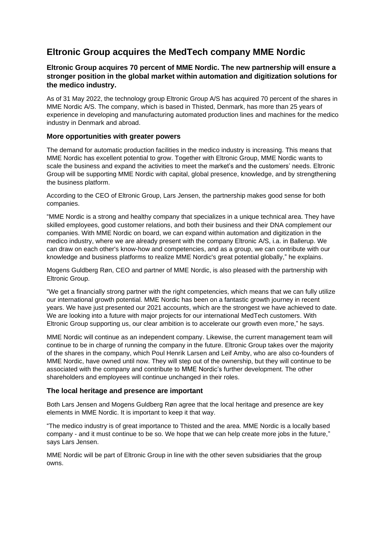# **Eltronic Group acquires the MedTech company MME Nordic**

# **Eltronic Group acquires 70 percent of MME Nordic. The new partnership will ensure a stronger position in the global market within automation and digitization solutions for the medico industry.**

As of 31 May 2022, the technology group Eltronic Group A/S has acquired 70 percent of the shares in MME Nordic A/S. The company, which is based in Thisted, Denmark, has more than 25 years of experience in developing and manufacturing automated production lines and machines for the medico industry in Denmark and abroad.

## **More opportunities with greater powers**

The demand for automatic production facilities in the medico industry is increasing. This means that MME Nordic has excellent potential to grow. Together with Eltronic Group, MME Nordic wants to scale the business and expand the activities to meet the market's and the customers' needs. Eltronic Group will be supporting MME Nordic with capital, global presence, knowledge, and by strengthening the business platform.

According to the CEO of Eltronic Group, Lars Jensen, the partnership makes good sense for both companies.

"MME Nordic is a strong and healthy company that specializes in a unique technical area. They have skilled employees, good customer relations, and both their business and their DNA complement our companies. With MME Nordic on board, we can expand within automation and digitization in the medico industry, where we are already present with the company Eltronic A/S, i.a. in Ballerup. We can draw on each other's know-how and competencies, and as a group, we can contribute with our knowledge and business platforms to realize MME Nordic's great potential globally," he explains.

Mogens Guldberg Røn, CEO and partner of MME Nordic, is also pleased with the partnership with Eltronic Group.

"We get a financially strong partner with the right competencies, which means that we can fully utilize our international growth potential. MME Nordic has been on a fantastic growth journey in recent years. We have just presented our 2021 accounts, which are the strongest we have achieved to date. We are looking into a future with major projects for our international MedTech customers. With Eltronic Group supporting us, our clear ambition is to accelerate our growth even more," he says.

MME Nordic will continue as an independent company. Likewise, the current management team will continue to be in charge of running the company in the future. Eltronic Group takes over the majority of the shares in the company, which Poul Henrik Larsen and Leif Amby, who are also co-founders of MME Nordic, have owned until now. They will step out of the ownership, but they will continue to be associated with the company and contribute to MME Nordic's further development. The other shareholders and employees will continue unchanged in their roles.

# **The local heritage and presence are important**

Both Lars Jensen and Mogens Guldberg Røn agree that the local heritage and presence are key elements in MME Nordic. It is important to keep it that way.

"The medico industry is of great importance to Thisted and the area. MME Nordic is a locally based company - and it must continue to be so. We hope that we can help create more jobs in the future," says Lars Jensen.

MME Nordic will be part of Eltronic Group in line with the other seven subsidiaries that the group owns.